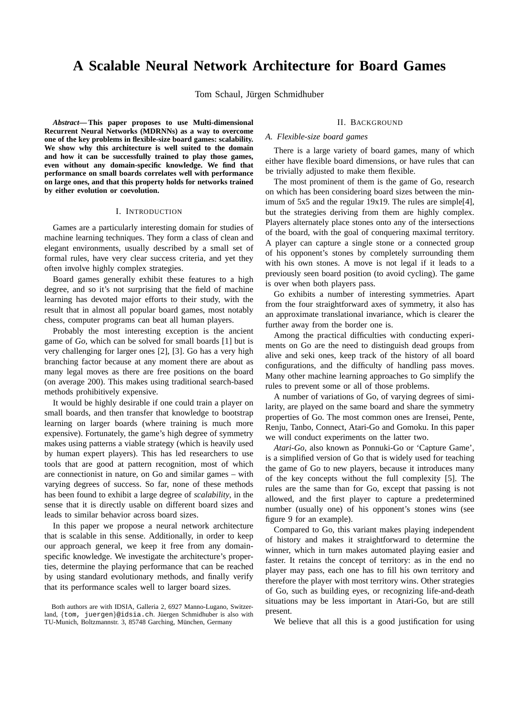# **A Scalable Neural Network Architecture for Board Games**

Tom Schaul, Jürgen Schmidhuber

*Abstract***— This paper proposes to use Multi-dimensional Recurrent Neural Networks (MDRNNs) as a way to overcome one of the key problems in flexible-size board games: scalability. We show why this architecture is well suited to the domain and how it can be successfully trained to play those games, even without any domain-specific knowledge. We find that performance on small boards correlates well with performance on large ones, and that this property holds for networks trained by either evolution or coevolution.**

## I. INTRODUCTION

Games are a particularly interesting domain for studies of machine learning techniques. They form a class of clean and elegant environments, usually described by a small set of formal rules, have very clear success criteria, and yet they often involve highly complex strategies.

Board games generally exhibit these features to a high degree, and so it's not surprising that the field of machine learning has devoted major efforts to their study, with the result that in almost all popular board games, most notably chess, computer programs can beat all human players.

Probably the most interesting exception is the ancient game of *Go*, which can be solved for small boards [1] but is very challenging for larger ones [2], [3]. Go has a very high branching factor because at any moment there are about as many legal moves as there are free positions on the board (on average 200). This makes using traditional search-based methods prohibitively expensive.

It would be highly desirable if one could train a player on small boards, and then transfer that knowledge to bootstrap learning on larger boards (where training is much more expensive). Fortunately, the game's high degree of symmetry makes using patterns a viable strategy (which is heavily used by human expert players). This has led researchers to use tools that are good at pattern recognition, most of which are connectionist in nature, on Go and similar games – with varying degrees of success. So far, none of these methods has been found to exhibit a large degree of *scalability*, in the sense that it is directly usable on different board sizes and leads to similar behavior across board sizes.

In this paper we propose a neural network architecture that is scalable in this sense. Additionally, in order to keep our approach general, we keep it free from any domainspecific knowledge. We investigate the architecture's properties, determine the playing performance that can be reached by using standard evolutionary methods, and finally verify that its performance scales well to larger board sizes.

# II. BACKGROUND

# *A. Flexible-size board games*

There is a large variety of board games, many of which either have flexible board dimensions, or have rules that can be trivially adjusted to make them flexible.

The most prominent of them is the game of Go, research on which has been considering board sizes between the minimum of 5x5 and the regular 19x19. The rules are simple[4], but the strategies deriving from them are highly complex. Players alternately place stones onto any of the intersections of the board, with the goal of conquering maximal territory. A player can capture a single stone or a connected group of his opponent's stones by completely surrounding them with his own stones. A move is not legal if it leads to a previously seen board position (to avoid cycling). The game is over when both players pass.

Go exhibits a number of interesting symmetries. Apart from the four straightforward axes of symmetry, it also has an approximate translational invariance, which is clearer the further away from the border one is.

Among the practical difficulties with conducting experiments on Go are the need to distinguish dead groups from alive and seki ones, keep track of the history of all board configurations, and the difficulty of handling pass moves. Many other machine learning approaches to Go simplify the rules to prevent some or all of those problems.

A number of variations of Go, of varying degrees of similarity, are played on the same board and share the symmetry properties of Go. The most common ones are Irensei, Pente, Renju, Tanbo, Connect, Atari-Go and Gomoku. In this paper we will conduct experiments on the latter two.

*Atari-Go*, also known as Ponnuki-Go or 'Capture Game', is a simplified version of Go that is widely used for teaching the game of Go to new players, because it introduces many of the key concepts without the full complexity [5]. The rules are the same than for Go, except that passing is not allowed, and the first player to capture a predetermined number (usually one) of his opponent's stones wins (see figure 9 for an example).

Compared to Go, this variant makes playing independent of history and makes it straightforward to determine the winner, which in turn makes automated playing easier and faster. It retains the concept of territory: as in the end no player may pass, each one has to fill his own territory and therefore the player with most territory wins. Other strategies of Go, such as building eyes, or recognizing life-and-death situations may be less important in Atari-Go, but are still present.

We believe that all this is a good justification for using

Both authors are with IDSIA, Galleria 2, 6927 Manno-Lugano, Switzerland, {tom, juergen}@idsia.ch. Jüergen Schmidhuber is also with TU-Munich, Boltzmannstr. 3, 85748 Garching, München, Germany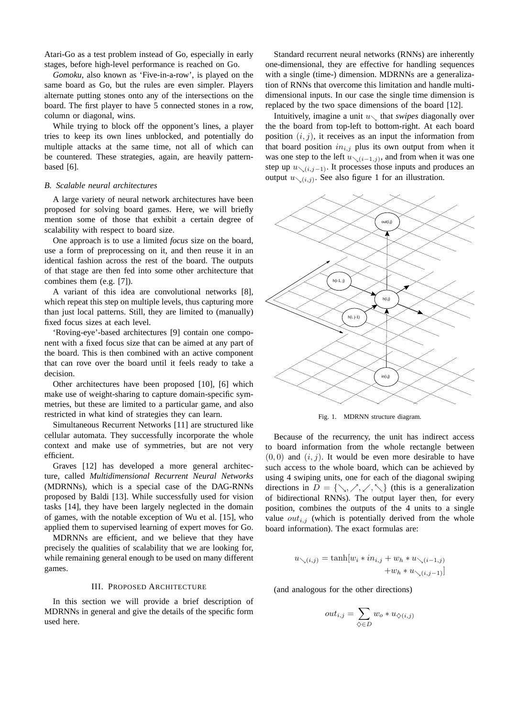Atari-Go as a test problem instead of Go, especially in early stages, before high-level performance is reached on Go.

*Gomoku*, also known as 'Five-in-a-row', is played on the same board as Go, but the rules are even simpler. Players alternate putting stones onto any of the intersections on the board. The first player to have 5 connected stones in a row, column or diagonal, wins.

While trying to block off the opponent's lines, a player tries to keep its own lines unblocked, and potentially do multiple attacks at the same time, not all of which can be countered. These strategies, again, are heavily patternbased [6].

#### *B. Scalable neural architectures*

A large variety of neural network architectures have been proposed for solving board games. Here, we will briefly mention some of those that exhibit a certain degree of scalability with respect to board size.

One approach is to use a limited *focus* size on the board, use a form of preprocessing on it, and then reuse it in an identical fashion across the rest of the board. The outputs of that stage are then fed into some other architecture that combines them (e.g. [7]).

A variant of this idea are convolutional networks [8], which repeat this step on multiple levels, thus capturing more than just local patterns. Still, they are limited to (manually) fixed focus sizes at each level.

'Roving-eye'-based architectures [9] contain one component with a fixed focus size that can be aimed at any part of the board. This is then combined with an active component that can rove over the board until it feels ready to take a decision.

Other architectures have been proposed [10], [6] which make use of weight-sharing to capture domain-specific symmetries, but these are limited to a particular game, and also restricted in what kind of strategies they can learn.

Simultaneous Recurrent Networks [11] are structured like cellular automata. They successfully incorporate the whole context and make use of symmetries, but are not very efficient.

Graves [12] has developed a more general architecture, called *Multidimensional Recurrent Neural Networks* (MDRNNs), which is a special case of the DAG-RNNs proposed by Baldi [13]. While successfully used for vision tasks [14], they have been largely neglected in the domain of games, with the notable exception of Wu et al. [15], who applied them to supervised learning of expert moves for Go.

MDRNNs are efficient, and we believe that they have precisely the qualities of scalability that we are looking for, while remaining general enough to be used on many different games.

## III. PROPOSED ARCHITECTURE

In this section we will provide a brief description of MDRNNs in general and give the details of the specific form used here.

Standard recurrent neural networks (RNNs) are inherently one-dimensional, they are effective for handling sequences with a single (time-) dimension. MDRNNs are a generalization of RNNs that overcome this limitation and handle multidimensional inputs. In our case the single time dimension is replaced by the two space dimensions of the board [12].

Intuitively, imagine a unit  $u<sub>\sim</sub>$  that *swipes* diagonally over the the board from top-left to bottom-right. At each board position  $(i, j)$ , it receives as an input the information from that board position  $in_{i,j}$  plus its own output from when it was one step to the left  $u_{\setminus (i-1,j)}$ , and from when it was one step up  $u_{\setminus (i,j-1)}$ . It processes those inputs and produces an output  $u_{\setminus(i,j)}$ . See also figure 1 for an illustration.



Fig. 1. MDRNN structure diagram.

Because of the recurrency, the unit has indirect access to board information from the whole rectangle between  $(0, 0)$  and  $(i, j)$ . It would be even more desirable to have such access to the whole board, which can be achieved by using 4 swiping units, one for each of the diagonal swiping directions in  $D = \{\setminus, \nearrow, \swarrow, \preceq\}$  (this is a generalization of bidirectional RNNs). The output layer then, for every position, combines the outputs of the 4 units to a single value  $out_{i,j}$  (which is potentially derived from the whole board information). The exact formulas are:

$$
u_{\searrow(i,j)} = \tanh[w_i * in_{i,j} + w_h * u_{\searrow(i-1,j)}+ w_h * u_{\searrow(i,j-1)}]
$$

(and analogous for the other directions)

$$
out_{i,j} = \sum_{\diamondsuit \in D} w_o * u_{\diamondsuit(i,j)}
$$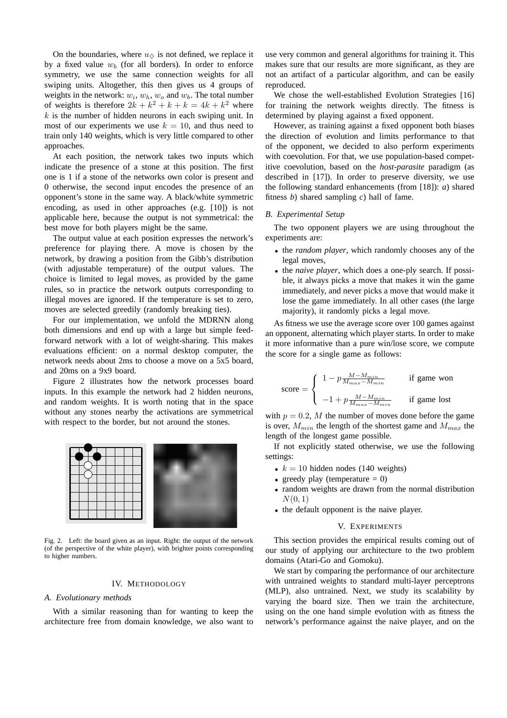On the boundaries, where  $u_{\diamond}$  is not defined, we replace it by a fixed value  $w_b$  (for all borders). In order to enforce symmetry, we use the same connection weights for all swiping units. Altogether, this then gives us 4 groups of weights in the network:  $w_i$ ,  $w_h$ ,  $w_o$  and  $w_b$ . The total number of weights is therefore  $2k + k^2 + k + k = 4k + k^2$  where  $k$  is the number of hidden neurons in each swiping unit. In most of our experiments we use  $k = 10$ , and thus need to train only 140 weights, which is very little compared to other approaches.

At each position, the network takes two inputs which indicate the presence of a stone at this position. The first one is 1 if a stone of the networks own color is present and 0 otherwise, the second input encodes the presence of an opponent's stone in the same way. A black/white symmetric encoding, as used in other approaches (e.g. [10]) is not applicable here, because the output is not symmetrical: the best move for both players might be the same.

The output value at each position expresses the network's preference for playing there. A move is chosen by the network, by drawing a position from the Gibb's distribution (with adjustable temperature) of the output values. The choice is limited to legal moves, as provided by the game rules, so in practice the network outputs corresponding to illegal moves are ignored. If the temperature is set to zero, moves are selected greedily (randomly breaking ties).

For our implementation, we unfold the MDRNN along both dimensions and end up with a large but simple feedforward network with a lot of weight-sharing. This makes evaluations efficient: on a normal desktop computer, the network needs about 2ms to choose a move on a 5x5 board, and 20ms on a 9x9 board.

Figure 2 illustrates how the network processes board inputs. In this example the network had 2 hidden neurons, and random weights. It is worth noting that in the space without any stones nearby the activations are symmetrical with respect to the border, but not around the stones.



Fig. 2. Left: the board given as an input. Right: the output of the network (of the perspective of the white player), with brighter points corresponding to higher numbers.

#### IV. METHODOLOGY

### *A. Evolutionary methods*

With a similar reasoning than for wanting to keep the architecture free from domain knowledge, we also want to use very common and general algorithms for training it. This makes sure that our results are more significant, as they are not an artifact of a particular algorithm, and can be easily reproduced.

We chose the well-established Evolution Strategies [16] for training the network weights directly. The fitness is determined by playing against a fixed opponent.

However, as training against a fixed opponent both biases the direction of evolution and limits performance to that of the opponent, we decided to also perform experiments with coevolution. For that, we use population-based competitive coevolution, based on the *host-parasite* paradigm (as described in [17]). In order to preserve diversity, we use the following standard enhancements (from [18]): *a*) shared fitness *b*) shared sampling *c*) hall of fame.

#### *B. Experimental Setup*

The two opponent players we are using throughout the experiments are:

- the *random player*, which randomly chooses any of the legal moves,
- the *naive player*, which does a one-ply search. If possible, it always picks a move that makes it win the game immediately, and never picks a move that would make it lose the game immediately. In all other cases (the large majority), it randomly picks a legal move.

As fitness we use the average score over 100 games against an opponent, alternating which player starts. In order to make it more informative than a pure win/lose score, we compute the score for a single game as follows:

$$
score = \begin{cases} 1 - p \frac{M - M_{min}}{M_{max} - M_{min}} & \text{if game won} \\ -1 + p \frac{M - M_{min}}{M_{max} - M_{min}} & \text{if game lost} \end{cases}
$$

with  $p = 0.2$ , M the number of moves done before the game is over,  $M_{min}$  the length of the shortest game and  $M_{max}$  the length of the longest game possible.

If not explicitly stated otherwise, we use the following settings:

- $k = 10$  hidden nodes (140 weights)
- greedy play (temperature  $= 0$ )
- random weights are drawn from the normal distribution  $N(0, 1)$
- the default opponent is the naive player.

## V. EXPERIMENTS

This section provides the empirical results coming out of our study of applying our architecture to the two problem domains (Atari-Go and Gomoku).

We start by comparing the performance of our architecture with untrained weights to standard multi-layer perceptrons (MLP), also untrained. Next, we study its scalability by varying the board size. Then we train the architecture, using on the one hand simple evolution with as fitness the network's performance against the naive player, and on the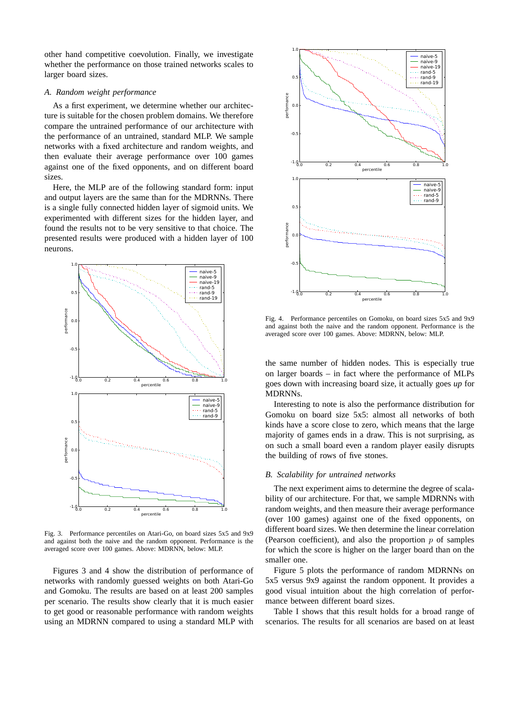other hand competitive coevolution. Finally, we investigate whether the performance on those trained networks scales to larger board sizes.

#### *A. Random weight performance*

As a first experiment, we determine whether our architecture is suitable for the chosen problem domains. We therefore compare the untrained performance of our architecture with the performance of an untrained, standard MLP. We sample networks with a fixed architecture and random weights, and then evaluate their average performance over 100 games against one of the fixed opponents, and on different board sizes.

Here, the MLP are of the following standard form: input and output layers are the same than for the MDRNNs. There is a single fully connected hidden layer of sigmoid units. We experimented with different sizes for the hidden layer, and found the results not to be very sensitive to that choice. The presented results were produced with a hidden layer of 100 neurons.



Fig. 3. Performance percentiles on Atari-Go, on board sizes 5x5 and 9x9 and against both the naive and the random opponent. Performance is the averaged score over 100 games. Above: MDRNN, below: MLP.

Figures 3 and 4 show the distribution of performance of networks with randomly guessed weights on both Atari-Go and Gomoku. The results are based on at least 200 samples per scenario. The results show clearly that it is much easier to get good or reasonable performance with random weights using an MDRNN compared to using a standard MLP with



Fig. 4. Performance percentiles on Gomoku, on board sizes 5x5 and 9x9 and against both the naive and the random opponent. Performance is the averaged score over 100 games. Above: MDRNN, below: MLP.

the same number of hidden nodes. This is especially true on larger boards – in fact where the performance of MLPs goes down with increasing board size, it actually goes *up* for MDRNNs.

Interesting to note is also the performance distribution for Gomoku on board size 5x5: almost all networks of both kinds have a score close to zero, which means that the large majority of games ends in a draw. This is not surprising, as on such a small board even a random player easily disrupts the building of rows of five stones.

## *B. Scalability for untrained networks*

The next experiment aims to determine the degree of scalability of our architecture. For that, we sample MDRNNs with random weights, and then measure their average performance (over 100 games) against one of the fixed opponents, on different board sizes. We then determine the linear correlation (Pearson coefficient), and also the proportion  $p$  of samples for which the score is higher on the larger board than on the smaller one.

Figure 5 plots the performance of random MDRNNs on 5x5 versus 9x9 against the random opponent. It provides a good visual intuition about the high correlation of performance between different board sizes.

Table I shows that this result holds for a broad range of scenarios. The results for all scenarios are based on at least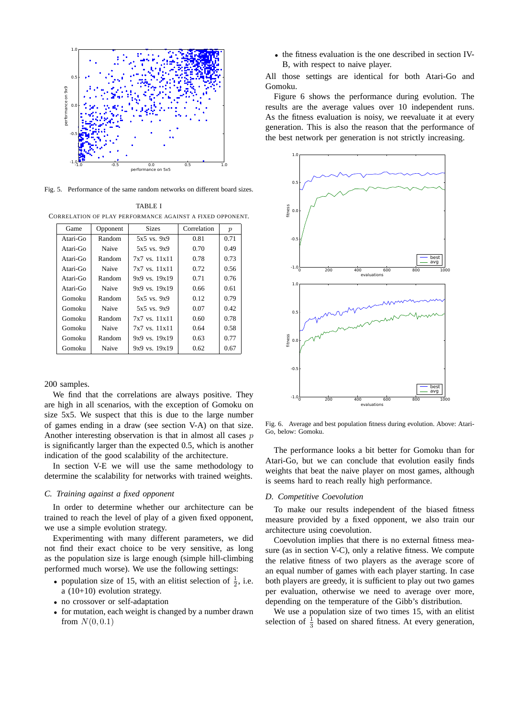

Fig. 5. Performance of the same random networks on different board sizes.

|          |          | CONNELATION OF TEAT TENFONMANCE AUAINST A FIAED OFFONEN |             |                  |
|----------|----------|---------------------------------------------------------|-------------|------------------|
| Game     | Opponent | <b>Sizes</b>                                            | Correlation | $\boldsymbol{p}$ |
| Atari-Go | Random   | 5x5 vs. 9x9                                             | 0.81        | 0.71             |
| Atari-Go | Naive    | $5x5$ vs. $9x9$                                         | 0.70        | 0.49             |
| Atari-Go | Random   | 7x7 vs. 11x11                                           | 0.78        | 0.73             |
| Atari-Go | Naive    | 7x7 vs. 11x11                                           | 0.72        | 0.56             |
| Atari-Go | Random   | $9x9$ vs. $19x19$                                       | 0.71        | 0.76             |
| Atari-Go | Naive    | $9x9$ vs. $19x19$                                       | 0.66        | 0.61             |
| Gomoku   | Random   | $5x5$ vs. $9x9$                                         | 0.12        | 0.79             |
| Gomoku   | Naive    | 5x5 vs. 9x9                                             | 0.07        | 0.42             |
| Gomoku   | Random   | 7x7 vs. 11x11                                           | 0.60        | 0.78             |
| Gomoku   | Naive    | 7x7 vs. 11x11                                           | 0.64        | 0.58             |
| Gomoku   | Random   | $9x9$ vs. $19x19$                                       | 0.63        | 0.77             |
| Gomoku   | Naive    | 9x9 vs. 19x19                                           | 0.62        | 0.67             |

TABLE I CORRELATION OF PLAY PERFORMANCE AGAINST A FIXED OPPONENT.

#### 200 samples.

We find that the correlations are always positive. They are high in all scenarios, with the exception of Gomoku on size 5x5. We suspect that this is due to the large number of games ending in a draw (see section V-A) on that size. Another interesting observation is that in almost all cases  $p$ is significantly larger than the expected 0.5, which is another indication of the good scalability of the architecture.

In section V-E we will use the same methodology to determine the scalability for networks with trained weights.

## *C. Training against a fixed opponent*

In order to determine whether our architecture can be trained to reach the level of play of a given fixed opponent, we use a simple evolution strategy.

Experimenting with many different parameters, we did not find their exact choice to be very sensitive, as long as the population size is large enough (simple hill-climbing performed much worse). We use the following settings:

- population size of 15, with an elitist selection of  $\frac{1}{2}$ , i.e. a (10+10) evolution strategy.
- no crossover or self-adaptation
- for mutation, each weight is changed by a number drawn from  $N(0, 0.1)$

• the fitness evaluation is the one described in section IV-B, with respect to naive player.

All those settings are identical for both Atari-Go and Gomoku.

Figure 6 shows the performance during evolution. The results are the average values over 10 independent runs. As the fitness evaluation is noisy, we reevaluate it at every generation. This is also the reason that the performance of the best network per generation is not strictly increasing.



Fig. 6. Average and best population fitness during evolution. Above: Atari-Go, below: Gomoku.

The performance looks a bit better for Gomoku than for Atari-Go, but we can conclude that evolution easily finds weights that beat the naive player on most games, although is seems hard to reach really high performance.

#### *D. Competitive Coevolution*

To make our results independent of the biased fitness measure provided by a fixed opponent, we also train our architecture using coevolution.

Coevolution implies that there is no external fitness measure (as in section V-C), only a relative fitness. We compute the relative fitness of two players as the average score of an equal number of games with each player starting. In case both players are greedy, it is sufficient to play out two games per evaluation, otherwise we need to average over more, depending on the temperature of the Gibb's distribution.

We use a population size of two times 15, with an elitist selection of  $\frac{1}{3}$  based on shared fitness. At every generation,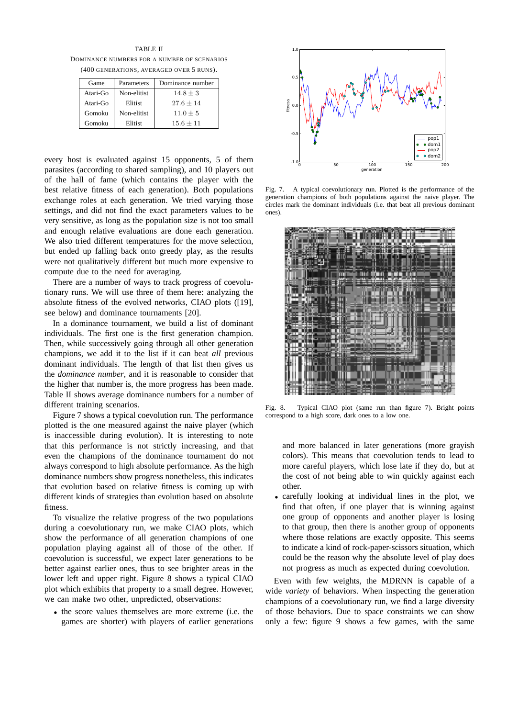TABLE II DOMINANCE NUMBERS FOR A NUMBER OF SCENARIOS (400 GENERATIONS, AVERAGED OVER 5 RUNS).

| Game     | Parameters  | Dominance number |
|----------|-------------|------------------|
| Atari-Go | Non-elitist | $14.8 + 3$       |
| Atari-Go | Elitist     | $27.6 + 14$      |
| Gomoku   | Non-elitist | $11.0 + 5$       |
| Gomoku   | Elitist     | $15.6 \pm 11$    |

every host is evaluated against 15 opponents, 5 of them parasites (according to shared sampling), and 10 players out of the hall of fame (which contains the player with the best relative fitness of each generation). Both populations exchange roles at each generation. We tried varying those settings, and did not find the exact parameters values to be very sensitive, as long as the population size is not too small and enough relative evaluations are done each generation. We also tried different temperatures for the move selection, but ended up falling back onto greedy play, as the results were not qualitatively different but much more expensive to compute due to the need for averaging.

There are a number of ways to track progress of coevolutionary runs. We will use three of them here: analyzing the absolute fitness of the evolved networks, CIAO plots ([19], see below) and dominance tournaments [20].

In a dominance tournament, we build a list of dominant individuals. The first one is the first generation champion. Then, while successively going through all other generation champions, we add it to the list if it can beat *all* previous dominant individuals. The length of that list then gives us the *dominance number*, and it is reasonable to consider that the higher that number is, the more progress has been made. Table II shows average dominance numbers for a number of different training scenarios.

Figure 7 shows a typical coevolution run. The performance plotted is the one measured against the naive player (which is inaccessible during evolution). It is interesting to note that this performance is not strictly increasing, and that even the champions of the dominance tournament do not always correspond to high absolute performance. As the high dominance numbers show progress nonetheless, this indicates that evolution based on relative fitness is coming up with different kinds of strategies than evolution based on absolute fitness.

To visualize the relative progress of the two populations during a coevolutionary run, we make CIAO plots, which show the performance of all generation champions of one population playing against all of those of the other. If coevolution is successful, we expect later generations to be better against earlier ones, thus to see brighter areas in the lower left and upper right. Figure 8 shows a typical CIAO plot which exhibits that property to a small degree. However, we can make two other, unpredicted, observations:

• the score values themselves are more extreme (i.e. the games are shorter) with players of earlier generations



Fig. 7. A typical coevolutionary run. Plotted is the performance of the generation champions of both populations against the naive player. The circles mark the dominant individuals (i.e. that beat all previous dominant ones).



Fig. 8. Typical CIAO plot (same run than figure 7). Bright points correspond to a high score, dark ones to a low one.

and more balanced in later generations (more grayish colors). This means that coevolution tends to lead to more careful players, which lose late if they do, but at the cost of not being able to win quickly against each other.

• carefully looking at individual lines in the plot, we find that often, if one player that is winning against one group of opponents and another player is losing to that group, then there is another group of opponents where those relations are exactly opposite. This seems to indicate a kind of rock-paper-scissors situation, which could be the reason why the absolute level of play does not progress as much as expected during coevolution.

Even with few weights, the MDRNN is capable of a wide *variety* of behaviors. When inspecting the generation champions of a coevolutionary run, we find a large diversity of those behaviors. Due to space constraints we can show only a few: figure 9 shows a few games, with the same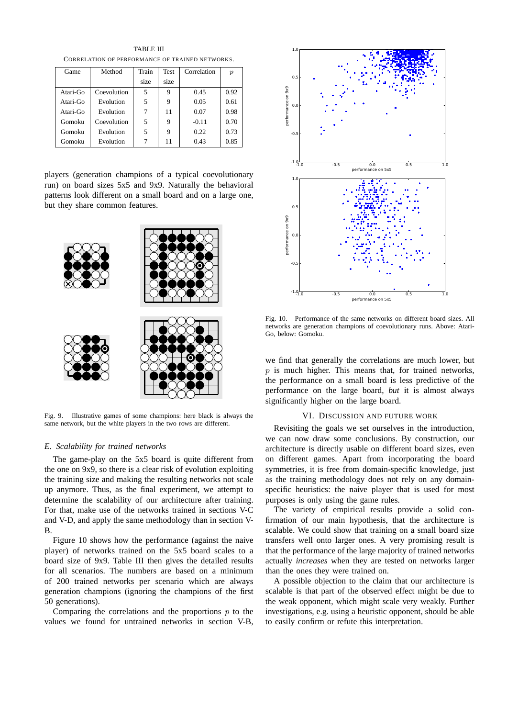TABLE III CORRELATION OF PERFORMANCE OF TRAINED NETWORKS.

| Game     | Method      | Train | Test | Correlation | $\boldsymbol{p}$ |
|----------|-------------|-------|------|-------------|------------------|
|          |             | size  | size |             |                  |
| Atari-Go | Coevolution | 5     | Q    | 0.45        | 0.92             |
| Atari-Go | Evolution   | 5     | 9    | 0.05        | 0.61             |
| Atari-Go | Evolution   | 7     | 11   | 0.07        | 0.98             |
| Gomoku   | Coevolution | 5     | 9    | $-0.11$     | 0.70             |
| Gomoku   | Evolution   | 5     | 9    | 0.22        | 0.73             |
| Gomoku   | Evolution   |       |      | 0.43        | 0.85             |

players (generation champions of a typical coevolutionary run) on board sizes 5x5 and 9x9. Naturally the behavioral patterns look different on a small board and on a large one, but they share common features.



Fig. 9. Illustrative games of some champions: here black is always the same network, but the white players in the two rows are different.

## *E. Scalability for trained networks*

The game-play on the 5x5 board is quite different from the one on 9x9, so there is a clear risk of evolution exploiting the training size and making the resulting networks not scale up anymore. Thus, as the final experiment, we attempt to determine the scalability of our architecture after training. For that, make use of the networks trained in sections V-C and V-D, and apply the same methodology than in section V-B.

Figure 10 shows how the performance (against the naive player) of networks trained on the 5x5 board scales to a board size of 9x9. Table III then gives the detailed results for all scenarios. The numbers are based on a minimum of 200 trained networks per scenario which are always generation champions (ignoring the champions of the first 50 generations).

Comparing the correlations and the proportions  $p$  to the values we found for untrained networks in section V-B,



Fig. 10. Performance of the same networks on different board sizes. All networks are generation champions of coevolutionary runs. Above: Atari-Go, below: Gomoku.

we find that generally the correlations are much lower, but  $p$  is much higher. This means that, for trained networks, the performance on a small board is less predictive of the performance on the large board, *but* it is almost always significantly higher on the large board.

#### VI. DISCUSSION AND FUTURE WORK

Revisiting the goals we set ourselves in the introduction, we can now draw some conclusions. By construction, our architecture is directly usable on different board sizes, even on different games. Apart from incorporating the board symmetries, it is free from domain-specific knowledge, just as the training methodology does not rely on any domainspecific heuristics: the naive player that is used for most purposes is only using the game rules.

The variety of empirical results provide a solid confirmation of our main hypothesis, that the architecture is scalable. We could show that training on a small board size transfers well onto larger ones. A very promising result is that the performance of the large majority of trained networks actually *increases* when they are tested on networks larger than the ones they were trained on.

A possible objection to the claim that our architecture is scalable is that part of the observed effect might be due to the weak opponent, which might scale very weakly. Further investigations, e.g. using a heuristic opponent, should be able to easily confirm or refute this interpretation.